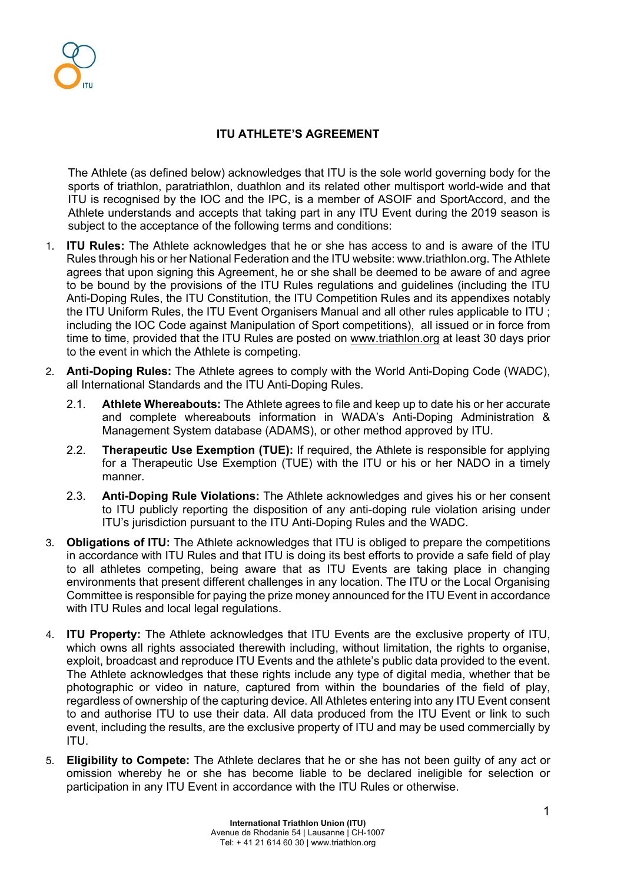# **ITU ATHLETE'S AGREEMENT**

The Athlete (as defined below) acknowledges that ITU is the sole world governing body for the sports of triathlon, paratriathlon, duathlon and its related other multisport world-wide and that ITU is recognised by the IOC and the IPC, is a member of ASOIF and SportAccord, and the Athlete understands and accepts that taking part in any ITU Event during the 2019 season is subject to the acceptance of the following terms and conditions:

- 1. **ITU Rules:** The Athlete acknowledges that he or she has access to and is aware of the ITU Rules through his or her National Federation and the ITU website: www.triathlon.org. The Athlete agrees that upon signing this Agreement, he or she shall be deemed to be aware of and agree to be bound by the provisions of the ITU Rules regulations and guidelines (including the ITU Anti-Doping Rules, the ITU Constitution, the ITU Competition Rules and its appendixes notably the ITU Uniform Rules, the ITU Event Organisers Manual and all other rules applicable to ITU ; including the IOC Code against Manipulation of Sport competitions), all issued or in force from time to time, provided that the ITU Rules are posted on www.triathlon.org at least 30 days prior to the event in which the Athlete is competing.
- 2. **Anti-Doping Rules:** The Athlete agrees to comply with the World Anti-Doping Code (WADC), all International Standards and the ITU Anti-Doping Rules.
	- 2.1. **Athlete Whereabouts:** The Athlete agrees to file and keep up to date his or her accurate and complete whereabouts information in WADA's Anti-Doping Administration & Management System database (ADAMS), or other method approved by ITU.
	- 2.2. **Therapeutic Use Exemption (TUE):** If required, the Athlete is responsible for applying for a Therapeutic Use Exemption (TUE) with the ITU or his or her NADO in a timely manner.
	- 2.3. **Anti-Doping Rule Violations:** The Athlete acknowledges and gives his or her consent to ITU publicly reporting the disposition of any anti-doping rule violation arising under ITU's jurisdiction pursuant to the ITU Anti-Doping Rules and the WADC.
- 3. **Obligations of ITU:** The Athlete acknowledges that ITU is obliged to prepare the competitions in accordance with ITU Rules and that ITU is doing its best efforts to provide a safe field of play to all athletes competing, being aware that as ITU Events are taking place in changing environments that present different challenges in any location. The ITU or the Local Organising Committee is responsible for paying the prize money announced for the ITU Event in accordance with ITU Rules and local legal regulations.
- 4. **ITU Property:** The Athlete acknowledges that ITU Events are the exclusive property of ITU, which owns all rights associated therewith including, without limitation, the rights to organise, exploit, broadcast and reproduce ITU Events and the athlete's public data provided to the event. The Athlete acknowledges that these rights include any type of digital media, whether that be photographic or video in nature, captured from within the boundaries of the field of play, regardless of ownership of the capturing device. All Athletes entering into any ITU Event consent to and authorise ITU to use their data. All data produced from the ITU Event or link to such event, including the results, are the exclusive property of ITU and may be used commercially by ITU.
- 5. **Eligibility to Compete:** The Athlete declares that he or she has not been guilty of any act or omission whereby he or she has become liable to be declared ineligible for selection or participation in any ITU Event in accordance with the ITU Rules or otherwise.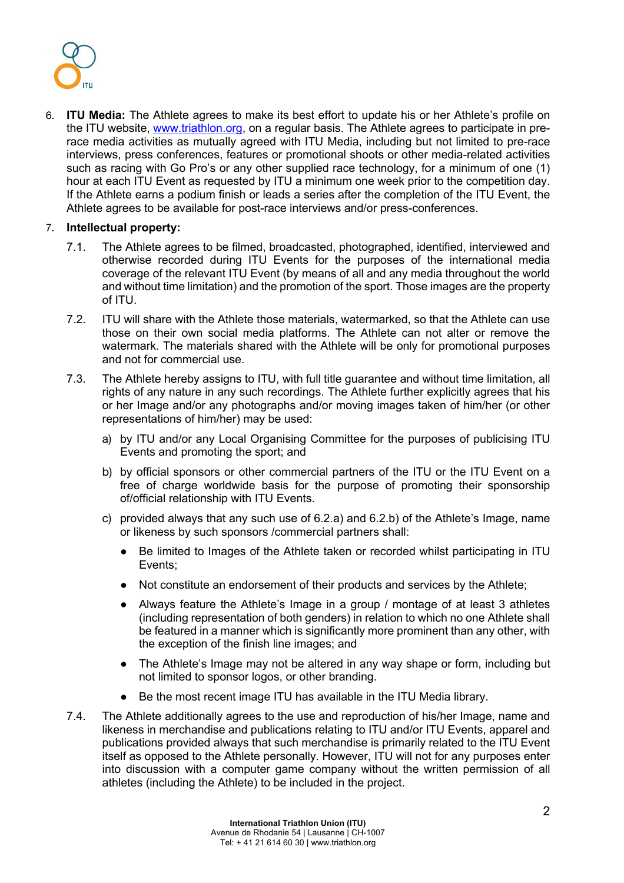

6. **ITU Media:** The Athlete agrees to make its best effort to update his or her Athlete's profile on the ITU website, www.triathlon.org, on a regular basis. The Athlete agrees to participate in prerace media activities as mutually agreed with ITU Media, including but not limited to pre-race interviews, press conferences, features or promotional shoots or other media-related activities such as racing with Go Pro's or any other supplied race technology, for a minimum of one (1) hour at each ITU Event as requested by ITU a minimum one week prior to the competition day. If the Athlete earns a podium finish or leads a series after the completion of the ITU Event, the Athlete agrees to be available for post-race interviews and/or press-conferences.

### 7. **Intellectual property:**

- 7.1. The Athlete agrees to be filmed, broadcasted, photographed, identified, interviewed and otherwise recorded during ITU Events for the purposes of the international media coverage of the relevant ITU Event (by means of all and any media throughout the world and without time limitation) and the promotion of the sport. Those images are the property of ITU.
- 7.2. ITU will share with the Athlete those materials, watermarked, so that the Athlete can use those on their own social media platforms. The Athlete can not alter or remove the watermark. The materials shared with the Athlete will be only for promotional purposes and not for commercial use.
- 7.3. The Athlete hereby assigns to ITU, with full title guarantee and without time limitation, all rights of any nature in any such recordings. The Athlete further explicitly agrees that his or her Image and/or any photographs and/or moving images taken of him/her (or other representations of him/her) may be used:
	- a) by ITU and/or any Local Organising Committee for the purposes of publicising ITU Events and promoting the sport; and
	- b) by official sponsors or other commercial partners of the ITU or the ITU Event on a free of charge worldwide basis for the purpose of promoting their sponsorship of/official relationship with ITU Events.
	- c) provided always that any such use of 6.2.a) and 6.2.b) of the Athlete's Image, name or likeness by such sponsors /commercial partners shall:
		- Be limited to Images of the Athlete taken or recorded whilst participating in ITU Events;
		- Not constitute an endorsement of their products and services by the Athlete;
		- Always feature the Athlete's Image in a group / montage of at least 3 athletes (including representation of both genders) in relation to which no one Athlete shall be featured in a manner which is significantly more prominent than any other, with the exception of the finish line images; and
		- The Athlete's Image may not be altered in any way shape or form, including but not limited to sponsor logos, or other branding.
		- Be the most recent image ITU has available in the ITU Media library.
- 7.4. The Athlete additionally agrees to the use and reproduction of his/her Image, name and likeness in merchandise and publications relating to ITU and/or ITU Events, apparel and publications provided always that such merchandise is primarily related to the ITU Event itself as opposed to the Athlete personally. However, ITU will not for any purposes enter into discussion with a computer game company without the written permission of all athletes (including the Athlete) to be included in the project.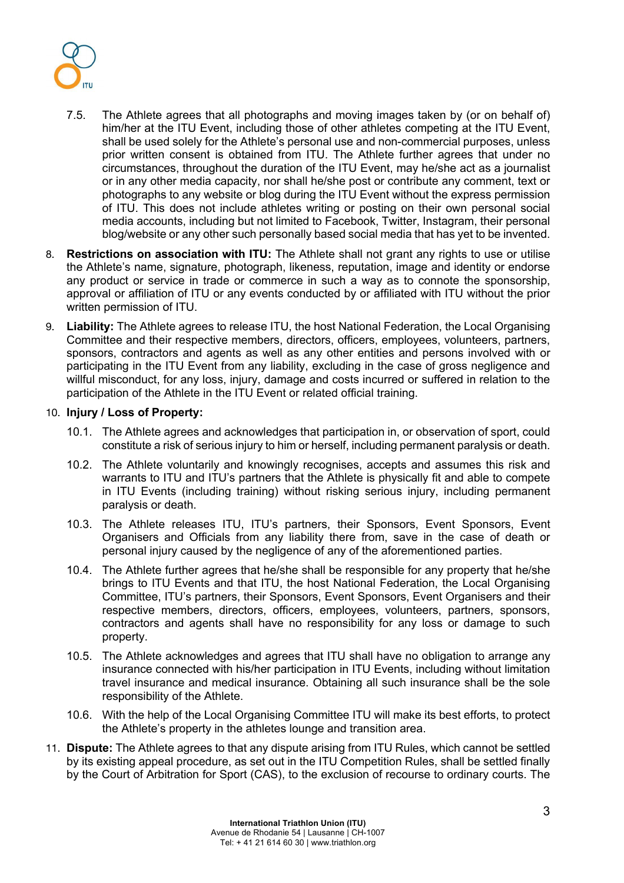

- 7.5. The Athlete agrees that all photographs and moving images taken by (or on behalf of) him/her at the ITU Event, including those of other athletes competing at the ITU Event, shall be used solely for the Athlete's personal use and non-commercial purposes, unless prior written consent is obtained from ITU. The Athlete further agrees that under no circumstances, throughout the duration of the ITU Event, may he/she act as a journalist or in any other media capacity, nor shall he/she post or contribute any comment, text or photographs to any website or blog during the ITU Event without the express permission of ITU. This does not include athletes writing or posting on their own personal social media accounts, including but not limited to Facebook, Twitter, Instagram, their personal blog/website or any other such personally based social media that has yet to be invented.
- 8. **Restrictions on association with ITU:** The Athlete shall not grant any rights to use or utilise the Athlete's name, signature, photograph, likeness, reputation, image and identity or endorse any product or service in trade or commerce in such a way as to connote the sponsorship, approval or affiliation of ITU or any events conducted by or affiliated with ITU without the prior written permission of ITU.
- 9. **Liability:** The Athlete agrees to release ITU, the host National Federation, the Local Organising Committee and their respective members, directors, officers, employees, volunteers, partners, sponsors, contractors and agents as well as any other entities and persons involved with or participating in the ITU Event from any liability, excluding in the case of gross negligence and willful misconduct, for any loss, injury, damage and costs incurred or suffered in relation to the participation of the Athlete in the ITU Event or related official training.

### 10. **Injury / Loss of Property:**

- 10.1. The Athlete agrees and acknowledges that participation in, or observation of sport, could constitute a risk of serious injury to him or herself, including permanent paralysis or death.
- 10.2. The Athlete voluntarily and knowingly recognises, accepts and assumes this risk and warrants to ITU and ITU's partners that the Athlete is physically fit and able to compete in ITU Events (including training) without risking serious injury, including permanent paralysis or death.
- 10.3. The Athlete releases ITU, ITU's partners, their Sponsors, Event Sponsors, Event Organisers and Officials from any liability there from, save in the case of death or personal injury caused by the negligence of any of the aforementioned parties.
- 10.4. The Athlete further agrees that he/she shall be responsible for any property that he/she brings to ITU Events and that ITU, the host National Federation, the Local Organising Committee, ITU's partners, their Sponsors, Event Sponsors, Event Organisers and their respective members, directors, officers, employees, volunteers, partners, sponsors, contractors and agents shall have no responsibility for any loss or damage to such property.
- 10.5. The Athlete acknowledges and agrees that ITU shall have no obligation to arrange any insurance connected with his/her participation in ITU Events, including without limitation travel insurance and medical insurance. Obtaining all such insurance shall be the sole responsibility of the Athlete.
- 10.6. With the help of the Local Organising Committee ITU will make its best efforts, to protect the Athlete's property in the athletes lounge and transition area.
- 11. **Dispute:** The Athlete agrees to that any dispute arising from ITU Rules, which cannot be settled by its existing appeal procedure, as set out in the ITU Competition Rules, shall be settled finally by the Court of Arbitration for Sport (CAS), to the exclusion of recourse to ordinary courts. The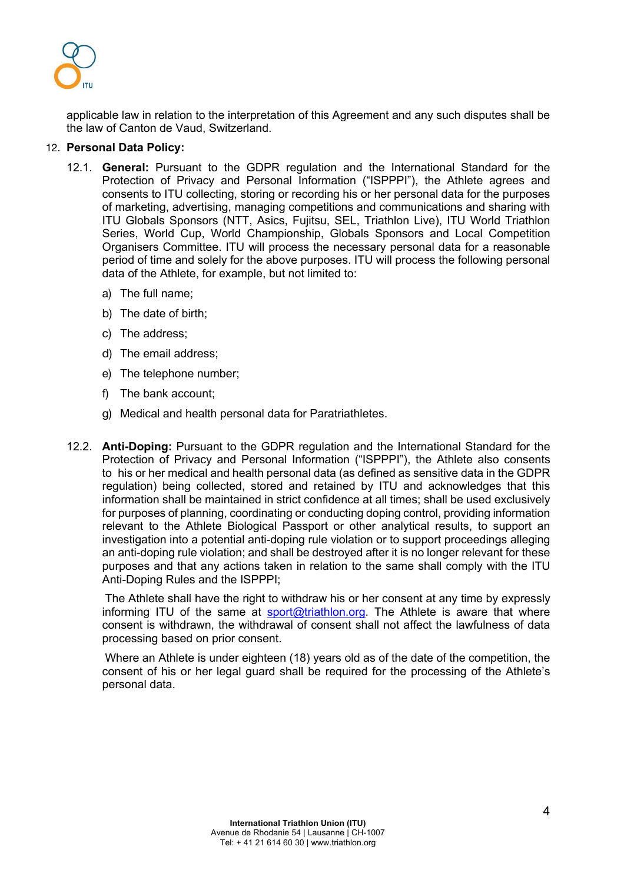

applicable law in relation to the interpretation of this Agreement and any such disputes shall be the law of Canton de Vaud, Switzerland.

#### 12. **Personal Data Policy:**

- 12.1. **General:** Pursuant to the GDPR regulation and the International Standard for the Protection of Privacy and Personal Information ("ISPPPI"), the Athlete agrees and consents to ITU collecting, storing or recording his or her personal data for the purposes of marketing, advertising, managing competitions and communications and sharing with ITU Globals Sponsors (NTT, Asics, Fujitsu, SEL, Triathlon Live), ITU World Triathlon Series, World Cup, World Championship, Globals Sponsors and Local Competition Organisers Committee. ITU will process the necessary personal data for a reasonable period of time and solely for the above purposes. ITU will process the following personal data of the Athlete, for example, but not limited to:
	- a) The full name;
	- b) The date of birth;
	- c) The address;
	- d) The email address;
	- e) The telephone number;
	- f) The bank account;
	- g) Medical and health personal data for Paratriathletes.
- 12.2. **Anti-Doping:** Pursuant to the GDPR regulation and the International Standard for the Protection of Privacy and Personal Information ("ISPPPI"), the Athlete also consents to his or her medical and health personal data (as defined as sensitive data in the GDPR regulation) being collected, stored and retained by ITU and acknowledges that this information shall be maintained in strict confidence at all times; shall be used exclusively for purposes of planning, coordinating or conducting doping control, providing information relevant to the Athlete Biological Passport or other analytical results, to support an investigation into a potential anti-doping rule violation or to support proceedings alleging an anti-doping rule violation; and shall be destroyed after it is no longer relevant for these purposes and that any actions taken in relation to the same shall comply with the ITU Anti-Doping Rules and the ISPPPI;

The Athlete shall have the right to withdraw his or her consent at any time by expressly informing ITU of the same at sport@triathlon.org. The Athlete is aware that where consent is withdrawn, the withdrawal of consent shall not affect the lawfulness of data processing based on prior consent.

Where an Athlete is under eighteen (18) years old as of the date of the competition, the consent of his or her legal guard shall be required for the processing of the Athlete's personal data.